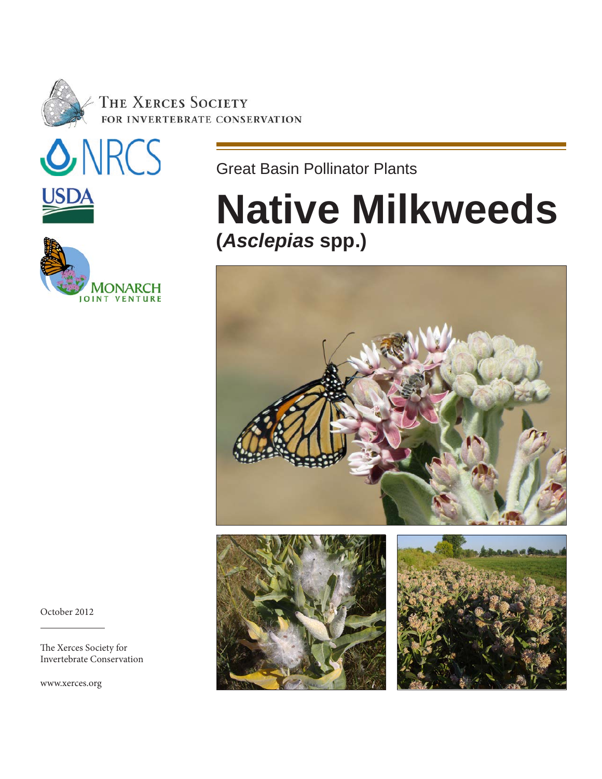

THE XERCES SOCIETY FOR INVERTEBRATE CONSERVATION





Great Basin Pollinator Plants

# **Native Milkweeds (***Asclepias* **spp.)**







October 2012

 $\overline{a}$ 

The Xerces Society for Invertebrate Conservation

www.xerces.org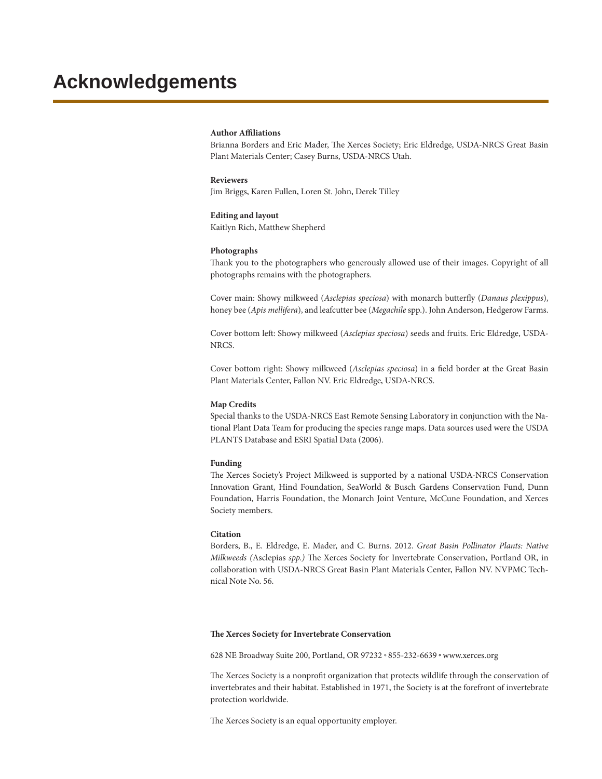#### **Author Affiliations**

Brianna Borders and Eric Mader, The Xerces Society; Eric Eldredge, USDA-NRCS Great Basin Plant Materials Center; Casey Burns, USDA-NRCS Utah.

#### **Reviewers** Jim Briggs, Karen Fullen, Loren St. John, Derek Tilley

#### **Editing and layout**

Kaitlyn Rich, Matthew Shepherd

#### **Photographs**

Thank you to the photographers who generously allowed use of their images. Copyright of all photographs remains with the photographers.

Cover main: Showy milkweed (*Asclepias speciosa*) with monarch butterfly (*Danaus plexippus*), honey bee (*Apis mellifera*), and leafcutter bee (*Megachile* spp.). John Anderson, Hedgerow Farms.

Cover bottom left: Showy milkweed (*Asclepias speciosa*) seeds and fruits. Eric Eldredge, USDA-NRCS.

Cover bottom right: Showy milkweed (*Asclepias speciosa*) in a field border at the Great Basin Plant Materials Center, Fallon NV. Eric Eldredge, USDA-NRCS.

#### **Map Credits**

Special thanks to the USDA-NRCS East Remote Sensing Laboratory in conjunction with the National Plant Data Team for producing the species range maps. Data sources used were the USDA PLANTS Database and ESRI Spatial Data (2006).

#### **Funding**

The Xerces Society's Project Milkweed is supported by a national USDA-NRCS Conservation Innovation Grant, Hind Foundation, SeaWorld & Busch Gardens Conservation Fund, Dunn Foundation, Harris Foundation, the Monarch Joint Venture, McCune Foundation, and Xerces Society members.

#### **Citation**

Borders, B., E. Eldredge, E. Mader, and C. Burns. 2012. *Great Basin Pollinator Plants: Native Milkweeds (*Asclepias *spp.)* The Xerces Society for Invertebrate Conservation, Portland OR, in collaboration with USDA-NRCS Great Basin Plant Materials Center, Fallon NV. NVPMC Technical Note No. 56.

#### **The Xerces Society for Invertebrate Conservation**

628 NE Broadway Suite 200, Portland, OR 97232 .855-232-6639 · www.xerces.org

The Xerces Society is a nonprofit organization that protects wildlife through the conservation of invertebrates and their habitat. Established in 1971, the Society is at the forefront of invertebrate protection worldwide.

The Xerces Society is an equal opportunity employer.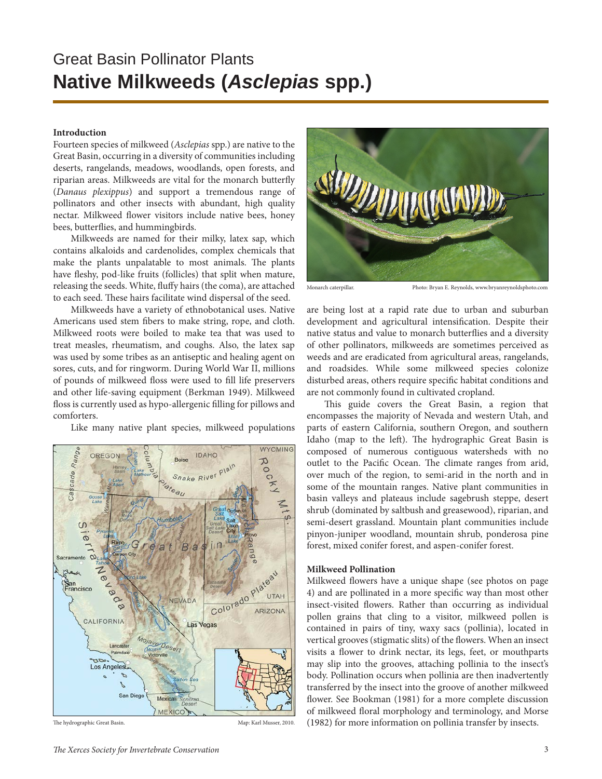### Great Basin Pollinator Plants **Native Milkweeds (***Asclepias* **spp.)**

#### **Introduction**

Fourteen species of milkweed (*Asclepias* spp.) are native to the Great Basin, occurring in a diversity of communities including deserts, rangelands, meadows, woodlands, open forests, and riparian areas. Milkweeds are vital for the monarch butterfly (*Danaus plexippus*) and support a tremendous range of pollinators and other insects with abundant, high quality nectar. Milkweed flower visitors include native bees, honey bees, butterflies, and hummingbirds.

Milkweeds are named for their milky, latex sap, which contains alkaloids and cardenolides, complex chemicals that make the plants unpalatable to most animals. The plants have fleshy, pod-like fruits (follicles) that split when mature, releasing the seeds. White, fluffy hairs (the coma), are attached to each seed. These hairs facilitate wind dispersal of the seed.

Milkweeds have a variety of ethnobotanical uses. Native Americans used stem fibers to make string, rope, and cloth. Milkweed roots were boiled to make tea that was used to treat measles, rheumatism, and coughs. Also, the latex sap was used by some tribes as an antiseptic and healing agent on sores, cuts, and for ringworm. During World War II, millions of pounds of milkweed floss were used to fill life preservers and other life-saving equipment (Berkman 1949). Milkweed floss is currently used as hypo-allergenic filling for pillows and comforters.

Like many native plant species, milkweed populations



The hydrographic Great Basin. Map: Karl Musser, 2010.



Monarch caterpillar. Photo: Bryan E. Reynolds, www.bryanreynoldsphoto.com

are being lost at a rapid rate due to urban and suburban development and agricultural intensification. Despite their native status and value to monarch butterflies and a diversity of other pollinators, milkweeds are sometimes perceived as weeds and are eradicated from agricultural areas, rangelands, and roadsides. While some milkweed species colonize disturbed areas, others require specific habitat conditions and are not commonly found in cultivated cropland.

This guide covers the Great Basin, a region that encompasses the majority of Nevada and western Utah, and parts of eastern California, southern Oregon, and southern Idaho (map to the left). The hydrographic Great Basin is composed of numerous contiguous watersheds with no outlet to the Pacific Ocean. The climate ranges from arid, over much of the region, to semi-arid in the north and in some of the mountain ranges. Native plant communities in basin valleys and plateaus include sagebrush steppe, desert shrub (dominated by saltbush and greasewood), riparian, and semi-desert grassland. Mountain plant communities include pinyon-juniper woodland, mountain shrub, ponderosa pine forest, mixed conifer forest, and aspen-conifer forest.

#### **Milkweed Pollination**

Milkweed flowers have a unique shape (see photos on page 4) and are pollinated in a more specific way than most other insect-visited flowers. Rather than occurring as individual pollen grains that cling to a visitor, milkweed pollen is contained in pairs of tiny, waxy sacs (pollinia), located in vertical grooves (stigmatic slits) of the flowers. When an insect visits a flower to drink nectar, its legs, feet, or mouthparts may slip into the grooves, attaching pollinia to the insect's body. Pollination occurs when pollinia are then inadvertently transferred by the insect into the groove of another milkweed flower. See Bookman (1981) for a more complete discussion of milkweed floral morphology and terminology, and Morse (1982) for more information on pollinia transfer by insects.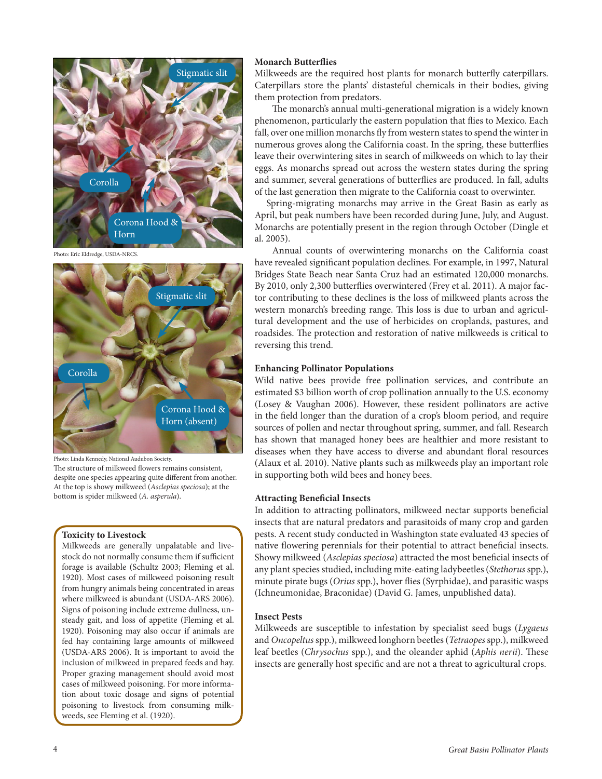

Photo: Eric Eldredge, USDA-NRCS.



Photo: Linda Kennedy, National Audubon Society.

The structure of milkweed flowers remains consistent, despite one species appearing quite different from another. At the top is showy milkweed (*Asclepias speciosa*); at the bottom is spider milkweed (*A. asperula*).

#### **Toxicity to Livestock**

Milkweeds are generally unpalatable and livestock do not normally consume them if sufficient forage is available (Schultz 2003; Fleming et al. 1920). Most cases of milkweed poisoning result from hungry animals being concentrated in areas where milkweed is abundant (USDA-ARS 2006). Signs of poisoning include extreme dullness, unsteady gait, and loss of appetite (Fleming et al. 1920). Poisoning may also occur if animals are fed hay containing large amounts of milkweed (USDA-ARS 2006). It is important to avoid the inclusion of milkweed in prepared feeds and hay. Proper grazing management should avoid most cases of milkweed poisoning. For more information about toxic dosage and signs of potential poisoning to livestock from consuming milkweeds, see Fleming et al. (1920).

#### **Monarch Butterflies**

Milkweeds are the required host plants for monarch butterfly caterpillars. Caterpillars store the plants' distasteful chemicals in their bodies, giving them protection from predators.

The monarch's annual multi-generational migration is a widely known phenomenon, particularly the eastern population that flies to Mexico. Each fall, over one million monarchs fly from western states to spend the winter in numerous groves along the California coast. In the spring, these butterflies leave their overwintering sites in search of milkweeds on which to lay their eggs. As monarchs spread out across the western states during the spring and summer, several generations of butterflies are produced. In fall, adults of the last generation then migrate to the California coast to overwinter.

Spring-migrating monarchs may arrive in the Great Basin as early as April, but peak numbers have been recorded during June, July, and August. Monarchs are potentially present in the region through October (Dingle et al. 2005).

Annual counts of overwintering monarchs on the California coast have revealed significant population declines. For example, in 1997, Natural Bridges State Beach near Santa Cruz had an estimated 120,000 monarchs. By 2010, only 2,300 butterflies overwintered (Frey et al. 2011). A major factor contributing to these declines is the loss of milkweed plants across the western monarch's breeding range. This loss is due to urban and agricultural development and the use of herbicides on croplands, pastures, and roadsides. The protection and restoration of native milkweeds is critical to reversing this trend.

#### **Enhancing Pollinator Populations**

Wild native bees provide free pollination services, and contribute an estimated \$3 billion worth of crop pollination annually to the U.S. economy (Losey & Vaughan 2006). However, these resident pollinators are active in the field longer than the duration of a crop's bloom period, and require sources of pollen and nectar throughout spring, summer, and fall. Research has shown that managed honey bees are healthier and more resistant to diseases when they have access to diverse and abundant floral resources (Alaux et al. 2010). Native plants such as milkweeds play an important role in supporting both wild bees and honey bees.

#### **Attracting Beneficial Insects**

In addition to attracting pollinators, milkweed nectar supports beneficial insects that are natural predators and parasitoids of many crop and garden pests. A recent study conducted in Washington state evaluated 43 species of native flowering perennials for their potential to attract beneficial insects. Showy milkweed (*Asclepias speciosa*) attracted the most beneficial insects of any plant species studied, including mite-eating ladybeetles (*Stethorus* spp.), minute pirate bugs (*Orius* spp.), hover flies (Syrphidae), and parasitic wasps (Ichneumonidae, Braconidae) (David G. James, unpublished data).

#### **Insect Pests**

Milkweeds are susceptible to infestation by specialist seed bugs (*Lygaeus* and *Oncopeltus* spp.), milkweed longhorn beetles (*Tetraopes* spp.), milkweed leaf beetles (*Chrysochus* spp.), and the oleander aphid (*Aphis nerii*). These insects are generally host specific and are not a threat to agricultural crops.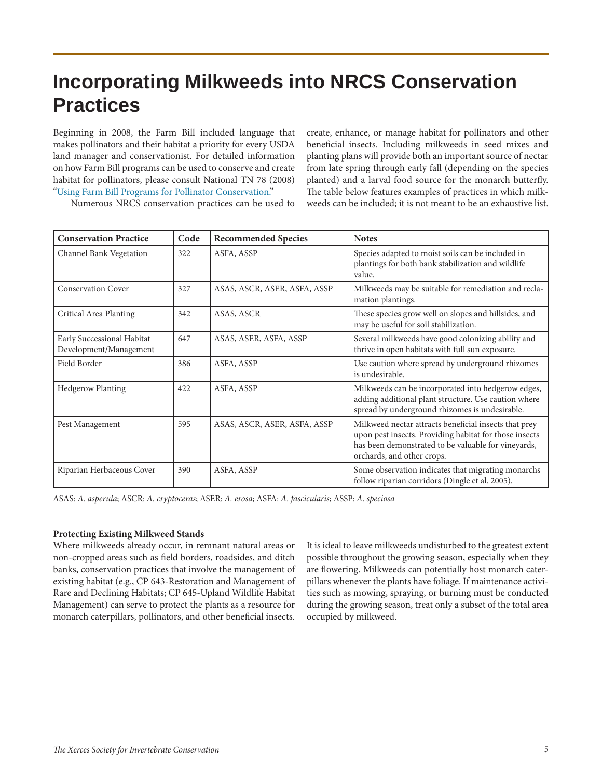# **Incorporating Milkweeds into NRCS Conservation Practices**

Beginning in 2008, the Farm Bill included language that makes pollinators and their habitat a priority for every USDA land manager and conservationist. For detailed information on how Farm Bill programs can be used to conserve and create habitat for pollinators, please consult National TN 78 (2008) "Using Farm Bill Programs for Pollinator Conservation."

create, enhance, or manage habitat for pollinators and other beneficial insects. Including milkweeds in seed mixes and planting plans will provide both an important source of nectar from late spring through early fall (depending on the species planted) and a larval food source for the monarch butterfly. The table below features examples of practices in which milkweeds can be included; it is not meant to be an exhaustive list.

Numerous NRCS conservation practices can be used to

| <b>Conservation Practice</b>                         | Code | <b>Recommended Species</b>   | <b>Notes</b>                                                                                                                                                                                         |
|------------------------------------------------------|------|------------------------------|------------------------------------------------------------------------------------------------------------------------------------------------------------------------------------------------------|
| Channel Bank Vegetation                              | 322  | ASFA, ASSP                   | Species adapted to moist soils can be included in<br>plantings for both bank stabilization and wildlife<br>value.                                                                                    |
| <b>Conservation Cover</b>                            | 327  | ASAS, ASCR, ASER, ASFA, ASSP | Milkweeds may be suitable for remediation and recla-<br>mation plantings.                                                                                                                            |
| Critical Area Planting                               | 342  | ASAS, ASCR                   | These species grow well on slopes and hillsides, and<br>may be useful for soil stabilization.                                                                                                        |
| Early Successional Habitat<br>Development/Management | 647  | ASAS, ASER, ASFA, ASSP       | Several milkweeds have good colonizing ability and<br>thrive in open habitats with full sun exposure.                                                                                                |
| Field Border                                         | 386  | ASFA, ASSP                   | Use caution where spread by underground rhizomes<br>is undesirable.                                                                                                                                  |
| <b>Hedgerow Planting</b>                             | 422  | ASFA, ASSP                   | Milkweeds can be incorporated into hedgerow edges,<br>adding additional plant structure. Use caution where<br>spread by underground rhizomes is undesirable.                                         |
| Pest Management                                      | 595  | ASAS, ASCR, ASER, ASFA, ASSP | Milkweed nectar attracts beneficial insects that prey<br>upon pest insects. Providing habitat for those insects<br>has been demonstrated to be valuable for vineyards,<br>orchards, and other crops. |
| Riparian Herbaceous Cover                            | 390  | ASFA, ASSP                   | Some observation indicates that migrating monarchs<br>follow riparian corridors (Dingle et al. 2005).                                                                                                |

ASAS: *A. asperula*; ASCR: *A. cryptoceras*; ASER: *A. erosa*; ASFA: *A. fascicularis*; ASSP: *A. speciosa*

#### **Protecting Existing Milkweed Stands**

Where milkweeds already occur, in remnant natural areas or non-cropped areas such as field borders, roadsides, and ditch banks, conservation practices that involve the management of existing habitat (e.g., CP 643-Restoration and Management of Rare and Declining Habitats; CP 645-Upland Wildlife Habitat Management) can serve to protect the plants as a resource for monarch caterpillars, pollinators, and other beneficial insects.

It is ideal to leave milkweeds undisturbed to the greatest extent possible throughout the growing season, especially when they are flowering. Milkweeds can potentially host monarch caterpillars whenever the plants have foliage. If maintenance activities such as mowing, spraying, or burning must be conducted during the growing season, treat only a subset of the total area occupied by milkweed.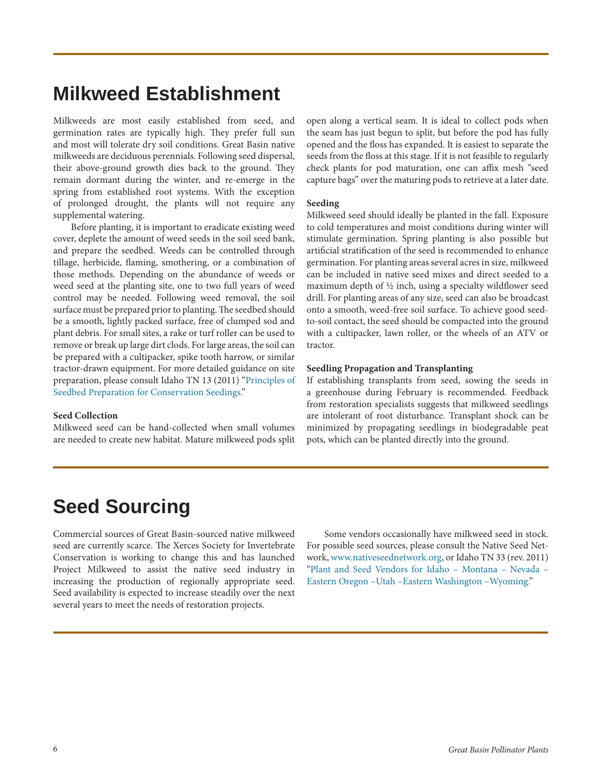## **Milkweed Establishment**

Milkweeds are most easily established from seed, and germination rates are typically high. They prefer full sun and most will tolerate dry soil conditions. Great Basin native milkweeds are deciduous perennials. Following seed dispersal, their above-ground growth dies back to the ground. They remain dormant during the winter, and re-emerge in the spring from established root systems. With the exception of prolonged drought, the plants will not require any supplemental watering.

Before planting, it is important to eradicate existing weed cover, deplete the amount of weed seeds in the soil seed bank, and prepare the seedbed. Weeds can be controlled through tillage, herbicide, flaming, smothering, or a combination of those methods. Depending on the abundance of weeds or weed seed at the planting site, one to two full years of weed control may be needed. Following weed removal, the soil surface must be prepared prior to planting. The seedbed should be a smooth, lightly packed surface, free of clumped sod and plant debris. For small sites, a rake or turf roller can be used to remove or break up large dirt clods. For large areas, the soil can be prepared with a cultipacker, spike tooth harrow, or similar tractor-drawn equipment. For more detailed guidance on site preparation, please consult Idaho TN 13 (2011) "Principles of Seedbed Preparation for Conservation Seedings."

#### **Seed Collection**

Milkweed seed can be hand-collected when small volumes are needed to create new habitat. Mature milkweed pods split open along a vertical seam. It is ideal to collect pods when the seam has just begun to split, but before the pod has fully opened and the floss has expanded. It is easiest to separate the seeds from the floss at this stage. If it is not feasible to regularly check plants for pod maturation, one can affix mesh "seed capture bags" over the maturing pods to retrieve at a later date.

#### **Seeding**

Milkweed seed should ideally be planted in the fall. Exposure to cold temperatures and moist conditions during winter will stimulate germination. Spring planting is also possible but artificial stratification of the seed is recommended to enhance germination. For planting areas several acres in size, milkweed can be included in native seed mixes and direct seeded to a maximum depth of ½ inch, using a specialty wildflower seed drill. For planting areas of any size, seed can also be broadcast onto a smooth, weed-free soil surface. To achieve good seedto-soil contact, the seed should be compacted into the ground with a cultipacker, lawn roller, or the wheels of an ATV or tractor.

#### **Seedling Propagation and Transplanting**

If establishing transplants from seed, sowing the seeds in a greenhouse during February is recommended. Feedback from restoration specialists suggests that milkweed seedlings are intolerant of root disturbance. Transplant shock can be minimized by propagating seedlings in biodegradable peat pots, which can be planted directly into the ground.

### **Seed Sourcing**

Commercial sources of Great Basin-sourced native milkweed seed are currently scarce. The Xerces Society for Invertebrate Conservation is working to change this and has launched Project Milkweed to assist the native seed industry in increasing the production of regionally appropriate seed. Seed availability is expected to increase steadily over the next several years to meet the needs of restoration projects.

Some vendors occasionally have milkweed seed in stock. For possible seed sources, please consult the Native Seed Network, www.nativeseednetwork.org, or Idaho TN 33 (rev. 2011) "Plant and Seed Vendors for Idaho – Montana – Nevada – Eastern Oregon –Utah –Eastern Washington –Wyoming."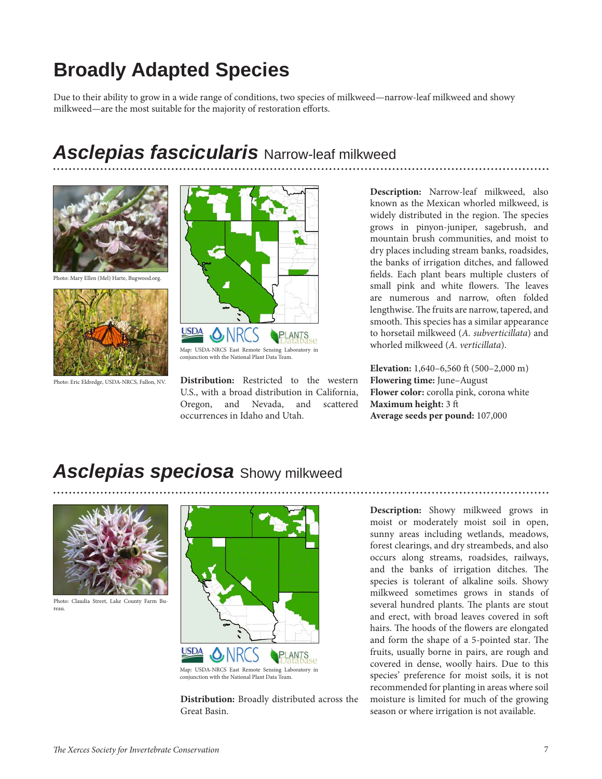# **Broadly Adapted Species**

Due to their ability to grow in a wide range of conditions, two species of milkweed—narrow-leaf milkweed and showy milkweed—are the most suitable for the majority of restoration efforts.

### *Asclepias fascicularis* Narrow-leaf milkweed



Photo: Mary Ellen (Mel) Harte, Bugwood.org.



Photo: Eric Eldredge, USDA-NRCS, Fallon, NV.



**Distribution:** Restricted to the western U.S., with a broad distribution in California, Oregon, and Nevada, and scattered occurrences in Idaho and Utah.

**Description:** Narrow-leaf milkweed, also known as the Mexican whorled milkweed, is widely distributed in the region. The species grows in pinyon-juniper, sagebrush, and mountain brush communities, and moist to dry places including stream banks, roadsides, the banks of irrigation ditches, and fallowed fields. Each plant bears multiple clusters of small pink and white flowers. The leaves are numerous and narrow, often folded lengthwise. The fruits are narrow, tapered, and smooth. This species has a similar appearance to horsetail milkweed (*A. subverticillata*) and whorled milkweed (*A. verticillata*).

**Elevation:** 1,640–6,560 ft (500–2,000 m) **Flowering time:** June–August **Flower color:** corolla pink, corona white **Maximum height:** 3 ft **Average seeds per pound:** 107,000

### *Asclepias speciosa* Showy milkweed



Photo: Claudia Street, Lake County Farm Bureau.



**Distribution:** Broadly distributed across the Great Basin.

**Description:** Showy milkweed grows in moist or moderately moist soil in open, sunny areas including wetlands, meadows, forest clearings, and dry streambeds, and also occurs along streams, roadsides, railways, and the banks of irrigation ditches. The species is tolerant of alkaline soils. Showy milkweed sometimes grows in stands of several hundred plants. The plants are stout and erect, with broad leaves covered in soft hairs. The hoods of the flowers are elongated and form the shape of a 5-pointed star. The fruits, usually borne in pairs, are rough and covered in dense, woolly hairs. Due to this species' preference for moist soils, it is not recommended for planting in areas where soil moisture is limited for much of the growing season or where irrigation is not available.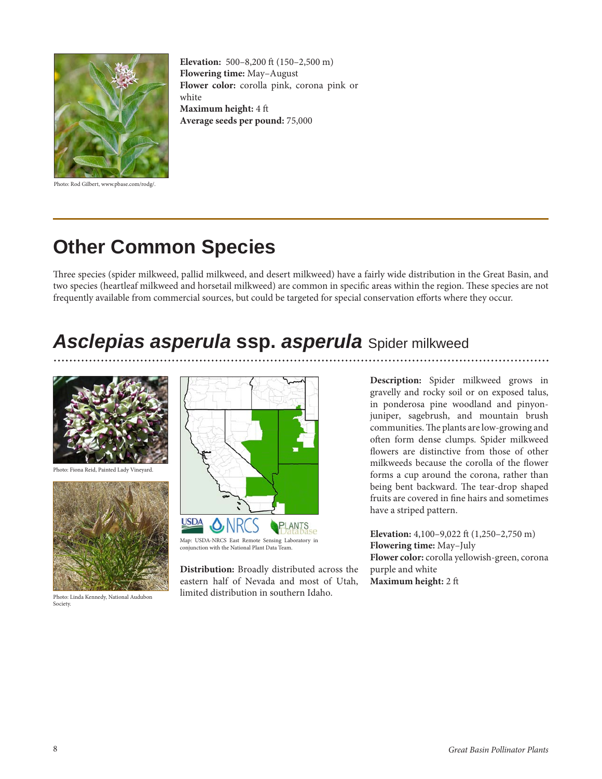

Photo: Rod Gilbert, www.pbase.com/rodg/.

**Elevation:** 500–8,200 ft (150–2,500 m) **Flowering time:** May–August **Flower color:** corolla pink, corona pink or white **Maximum height:** 4 ft **Average seeds per pound:** 75,000

# **Other Common Species**

Three species (spider milkweed, pallid milkweed, and desert milkweed) have a fairly wide distribution in the Great Basin, and two species (heartleaf milkweed and horsetail milkweed) are common in specific areas within the region. These species are not frequently available from commercial sources, but could be targeted for special conservation efforts where they occur.

# *Asclepias asperula* **ssp.** *asperula* Spider milkweed



Photo: Fiona Reid, Painted Lady Vineyard.



Photo: Linda Kennedy, National Audubon Society.



**Distribution:** Broadly distributed across the eastern half of Nevada and most of Utah, limited distribution in southern Idaho.

**Description:** Spider milkweed grows in gravelly and rocky soil or on exposed talus, in ponderosa pine woodland and pinyonjuniper, sagebrush, and mountain brush communities. The plants are low-growing and often form dense clumps. Spider milkweed flowers are distinctive from those of other milkweeds because the corolla of the flower forms a cup around the corona, rather than being bent backward. The tear-drop shaped fruits are covered in fine hairs and sometimes have a striped pattern.

**Elevation:** 4,100–9,022 ft (1,250–2,750 m) **Flowering time:** May–July **Flower color:** corolla yellowish-green, corona purple and white **Maximum height:** 2 ft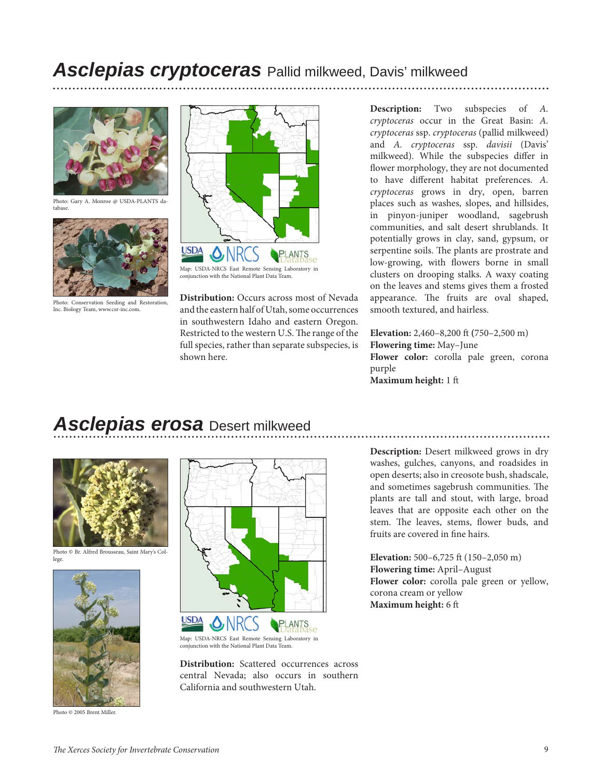### *Asclepias cryptoceras* Pallid milkweed, Davis' milkweed



Photo: Gary A. Monroe @ USDA-PLANTS database.



Photo: Conservation Seeding and Restoration, Inc. Biology Team, www.csr-inc.com.



**Distribution:** Occurs across most of Nevada and the eastern half of Utah, some occurrences in southwestern Idaho and eastern Oregon. Restricted to the western U.S. The range of the full species, rather than separate subspecies, is shown here.

**Description:** Two subspecies of *A. cryptoceras* occur in the Great Basin: *A. cryptoceras* ssp. *cryptoceras* (pallid milkweed) and *A. cryptoceras* ssp. *davisii* (Davis' milkweed). While the subspecies differ in flower morphology, they are not documented to have different habitat preferences. *A. cryptoceras* grows in dry, open, barren places such as washes, slopes, and hillsides, in pinyon-juniper woodland, sagebrush communities, and salt desert shrublands. It potentially grows in clay, sand, gypsum, or serpentine soils. The plants are prostrate and low-growing, with flowers borne in small clusters on drooping stalks. A waxy coating on the leaves and stems gives them a frosted appearance. The fruits are oval shaped, smooth textured, and hairless.

**Elevation:** 2,460–8,200 ft **(**750–2,500 m) **Flowering time:** May–June **Flower color:** corolla pale green, corona purple **Maximum height:** 1 ft

### *Asclepias erosa* Desert milkweed



Photo © Br. Alfred Brousseau, Saint Mary's College.



Photo © 2005 Brent Miller.



Map: USDA-NRCS East Remote Sensing Laboratory in conjunction with the National Plant Data Team.

**Distribution:** Scattered occurrences across central Nevada; also occurs in southern California and southwestern Utah.

**Description:** Desert milkweed grows in dry washes, gulches, canyons, and roadsides in open deserts; also in creosote bush, shadscale, and sometimes sagebrush communities. The plants are tall and stout, with large, broad leaves that are opposite each other on the stem. The leaves, stems, flower buds, and fruits are covered in fine hairs.

**Elevation:** 500–6,725 ft (150–2,050 m) **Flowering time:** April–August **Flower color:** corolla pale green or yellow, corona cream or yellow **Maximum height:** 6 ft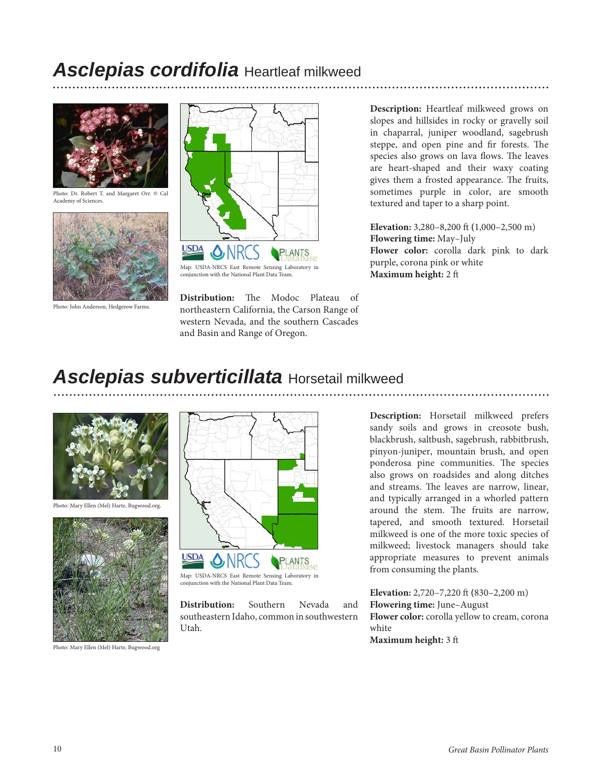## *Asclepias cordifolia* Heartleaf milkweed



Photo: Dr. Robert T. and Margaret Orr. © Cal Academy of Sciences.



Photo: John Anderson, Hedgerow Farms.



**Distribution:** The Modoc Plateau of northeastern California, the Carson Range of western Nevada, and the southern Cascades and Basin and Range of Oregon.

**Description:** Heartleaf milkweed grows on slopes and hillsides in rocky or gravelly soil in chaparral, juniper woodland, sagebrush steppe, and open pine and fir forests. The species also grows on lava flows. The leaves are heart-shaped and their waxy coating gives them a frosted appearance. The fruits, sometimes purple in color, are smooth textured and taper to a sharp point.

.................

**Elevation:** 3,280–8,200 ft **(**1,000–2,500 m) **Flowering time:** May–July **Flower color:** corolla dark pink to dark purple, corona pink or white **Maximum height:** 2 ft

# *Asclepias subverticillata* Horsetail milkweed



Photo: Mary Ellen (Mel) Harte, Bugwood.org.



Photo: Mary Ellen (Mel) Harte, Bugwood.org



conjunction with the National Plant Data Team.

**Distribution:** Southern Nevada and southeastern Idaho, common in southwestern Utah.

**Description:** Horsetail milkweed prefers sandy soils and grows in creosote bush, blackbrush, saltbush, sagebrush, rabbitbrush, pinyon-juniper, mountain brush, and open ponderosa pine communities. The species also grows on roadsides and along ditches and streams. The leaves are narrow, linear, and typically arranged in a whorled pattern around the stem. The fruits are narrow, tapered, and smooth textured. Horsetail milkweed is one of the more toxic species of milkweed; livestock managers should take appropriate measures to prevent animals from consuming the plants.

**Elevation:** 2,720–7,220 ft **(**830–2,200 m) **Flowering time:** June–August **Flower color:** corolla yellow to cream, corona white **Maximum height:** 3 ft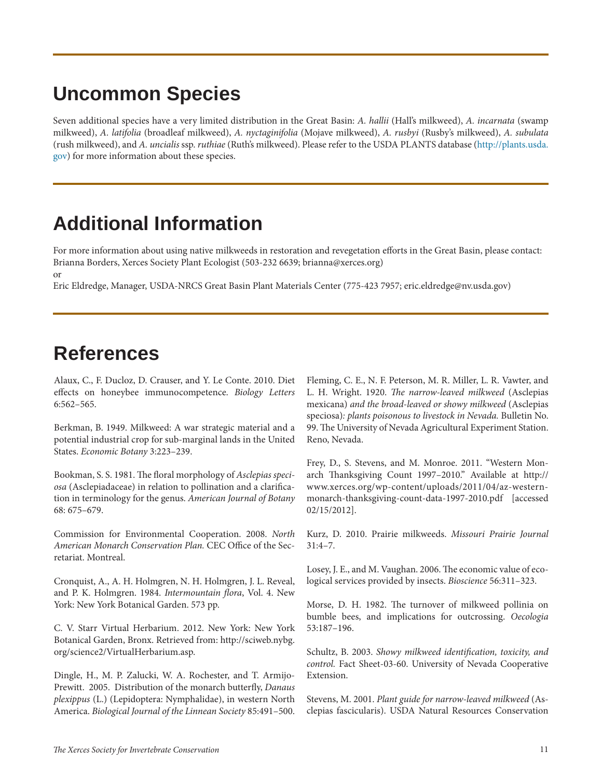# **Uncommon Species**

Seven additional species have a very limited distribution in the Great Basin: *A. hallii* (Hall's milkweed), *A. incarnata* (swamp milkweed), *A. latifolia* (broadleaf milkweed), *A. nyctaginifolia* (Mojave milkweed), *A. rusbyi* (Rusby's milkweed), *A. subulata* (rush milkweed), and *A. uncialis* ssp. *ruthiae* (Ruth's milkweed). Please refer to the USDA PLANTS database (http://plants.usda. gov) for more information about these species.

# **Additional Information**

For more information about using native milkweeds in restoration and revegetation efforts in the Great Basin, please contact: Brianna Borders, Xerces Society Plant Ecologist (503-232 6639; brianna@xerces.org) or

Eric Eldredge, Manager, USDA-NRCS Great Basin Plant Materials Center (775-423 7957; eric.eldredge@nv.usda.gov)

# **References**

Alaux, C., F. Ducloz, D. Crauser, and Y. Le Conte. 2010. Diet effects on honeybee immunocompetence. *Biology Letters* 6:562–565.

Berkman, B. 1949. Milkweed: A war strategic material and a potential industrial crop for sub-marginal lands in the United States. *Economic Botany* 3:223–239.

Bookman, S. S. 1981. The floral morphology of *Asclepias speciosa* (Asclepiadaceae) in relation to pollination and a clarification in terminology for the genus. *American Journal of Botany* 68: 675–679.

Commission for Environmental Cooperation. 2008. *North American Monarch Conservation Plan.* CEC Office of the Secretariat. Montreal.

Cronquist, A., A. H. Holmgren, N. H. Holmgren, J. L. Reveal, and P. K. Holmgren. 1984. *Intermountain flora*, Vol. 4. New York: New York Botanical Garden. 573 pp.

C. V. Starr Virtual Herbarium. 2012. New York: New York Botanical Garden, Bronx. Retrieved from: http://sciweb.nybg. org/science2/VirtualHerbarium.asp.

Dingle, H., M. P. Zalucki, W. A. Rochester, and T. Armijo-Prewitt. 2005. Distribution of the monarch butterfly, *Danaus plexippus* (L.) (Lepidoptera: Nymphalidae), in western North America. *Biological Journal of the Linnean Society* 85:491–500. Fleming, C. E., N. F. Peterson, M. R. Miller, L. R. Vawter, and L. H. Wright. 1920. *The narrow-leaved milkweed* (Asclepias mexicana) *and the broad-leaved or showy milkweed* (Asclepias speciosa)*: plants poisonous to livestock in Nevada.* Bulletin No. 99. The University of Nevada Agricultural Experiment Station. Reno, Nevada.

Frey, D., S. Stevens, and M. Monroe. 2011. "Western Monarch Thanksgiving Count 1997–2010." Available at http:// www.xerces.org/wp-content/uploads/2011/04/az-westernmonarch-thanksgiving-count-data-1997-2010.pdf [accessed 02/15/2012].

Kurz, D. 2010. Prairie milkweeds. *Missouri Prairie Journal*  31:4–7.

Losey, J. E., and M. Vaughan. 2006. The economic value of ecological services provided by insects. *Bioscience* 56:311–323.

Morse, D. H. 1982. The turnover of milkweed pollinia on bumble bees, and implications for outcrossing. *Oecologia* 53:187–196.

Schultz, B. 2003. *Showy milkweed identification, toxicity, and control.* Fact Sheet-03-60. University of Nevada Cooperative Extension.

Stevens, M. 2001. *Plant guide for narrow-leaved milkweed* (Asclepias fascicularis). USDA Natural Resources Conservation